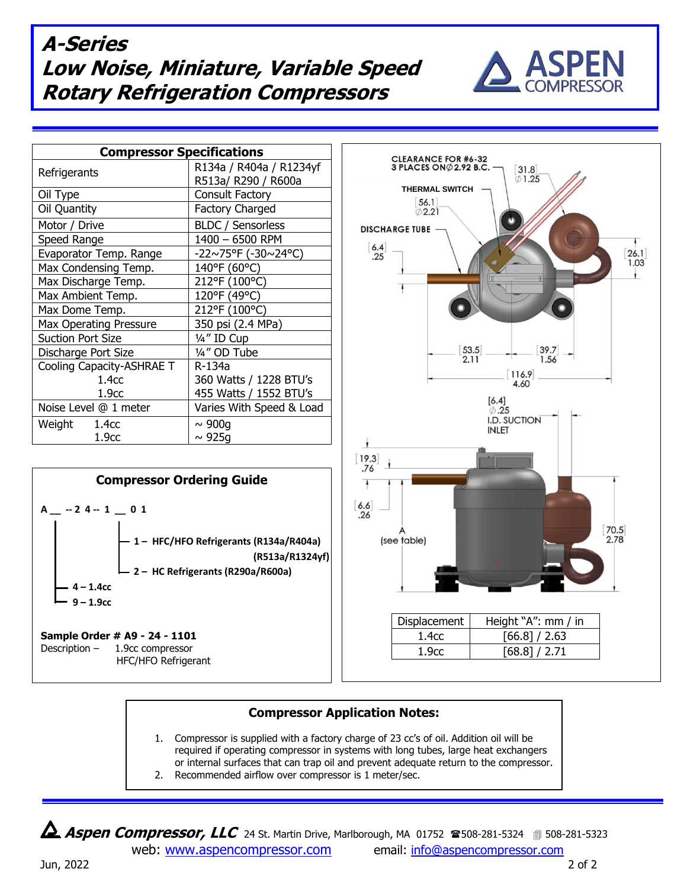## **A-Series Low Noise, Miniature, Variable Speed Rotary Refrigeration Compressors**



| <b>Compressor Specifications</b> |                          |
|----------------------------------|--------------------------|
| Refrigerants                     | R134a / R404a / R1234yf  |
|                                  | R513a/ R290 / R600a      |
| Oil Type                         | Consult Factory          |
| Oil Quantity                     | <b>Factory Charged</b>   |
| Motor / Drive                    | <b>BLDC</b> / Sensorless |
| Speed Range                      | 1400 - 6500 RPM          |
| Evaporator Temp. Range           | -22~75°F (-30~24°C)      |
| Max Condensing Temp.             | 140°F (60°C)             |
| Max Discharge Temp.              | 212°F (100°C)            |
| Max Ambient Temp.                | 120°F (49°C)             |
| Max Dome Temp.                   | 212°F (100°C)            |
| <b>Max Operating Pressure</b>    | 350 psi (2.4 MPa)        |
| <b>Suction Port Size</b>         | 1/4" ID Cup              |
| Discharge Port Size              | 1/4" OD Tube             |
| Cooling Capacity-ASHRAE T        | R-134a                   |
| 1.4 <sub>CC</sub>                | 360 Watts / 1228 BTU's   |
| 1.9 <sub>cc</sub>                | 455 Watts / 1552 BTU's   |
| Noise Level @ 1 meter            | Varies With Speed & Load |
| Weight<br>1.4 <sub>CC</sub>      | $\sim 900q$              |
| 1.9 <sub>cc</sub>                | $\sim$ 925g              |



Description – 1.9cc compressor HFC/HFO Refrigerant



## **Compressor Application Notes:**

- 1. Compressor is supplied with a factory charge of 23 cc's of oil. Addition oil will be required if operating compressor in systems with long tubes, large heat exchangers or internal surfaces that can trap oil and prevent adequate return to the compressor.
- 2. Recommended airflow over compressor is 1 meter/sec.

**Aspen Compressor, LLC** 24 St. Martin Drive, Marlborough, MA 01752 **28508-281-5324** 3508-281-5323 web: [www.aspencompressor.com](http://www.aspencompressor.com/) email: [info@aspencompressor.com](mailto:klee@aspencompressor.com)